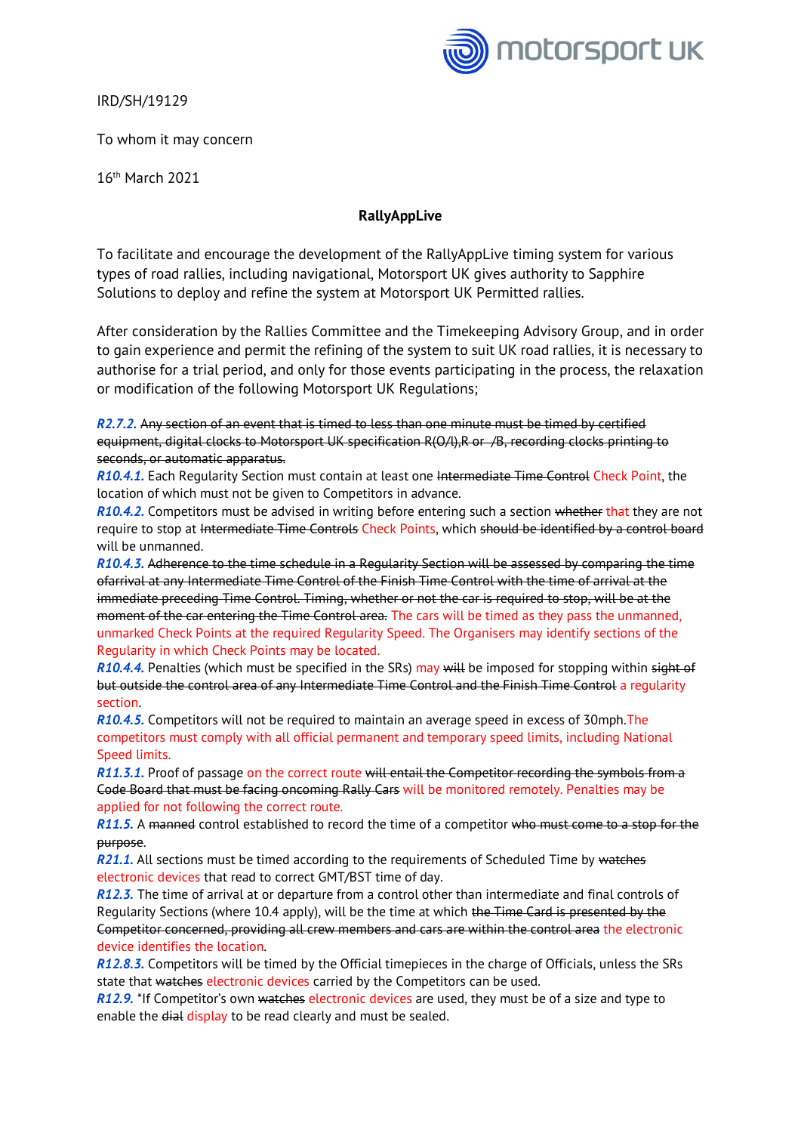

IRD/SH/19129

To whom it may concern

16th March 2021

## **RallyAppLive**

To facilitate and encourage the development of the RallyAppLive timing system for various types of road rallies, including navigational, Motorsport UK gives authority to Sapphire Solutions to deploy and refine the system at Motorsport UK Permitted rallies.

After consideration by the Rallies Committee and the Timekeeping Advisory Group, and in order to gain experience and permit the refining of the system to suit UK road rallies, it is necessary to authorise for a trial period, and only for those events participating in the process, the relaxation or modification of the following Motorsport UK Regulations;

*R2.7.2.* Any section of an event that is timed to less than one minute must be timed by certified equipment, digital clocks to Motorsport UK specification R(O/l), R or /B, recording clocks printing to seconds, or automatic apparatus.

*R10.4.1.* Each Regularity Section must contain at least one Intermediate Time Control Check Point, the location of which must not be given to Competitors in advance.

*R10.4.2.* Competitors must be advised in writing before entering such a section whether that they are not require to stop at Intermediate Time Controls Check Points, which should be identified by a control board will be unmanned.

*R10.4.3.* Adherence to the time schedule in a Regularity Section will be assessed by comparing the time ofarrival at any Intermediate Time Control of the Finish Time Control with the time of arrival at the immediate preceding Time Control. Timing, whether or not the car is required to stop, will be at the moment of the car entering the Time Control area. The cars will be timed as they pass the unmanned, unmarked Check Points at the required Regularity Speed. The Organisers may identify sections of the Regularity in which Check Points may be located.

*R10.4.4.* Penalties (which must be specified in the SRs) may will be imposed for stopping within sight of but outside the control area of any Intermediate Time Control and the Finish Time Control a regularity section.

*R10.4.5.* Competitors will not be required to maintain an average speed in excess of 30mph.The competitors must comply with all official permanent and temporary speed limits, including National Speed limits.

*R11.3.1.* Proof of passage on the correct route will entail the Competitor recording the symbols from a Code Board that must be facing oncoming Rally Cars will be monitored remotely. Penalties may be applied for not following the correct route.

*R11.5.* A manned control established to record the time of a competitor who must come to a stop for the purpose.

**R21.1.** All sections must be timed according to the requirements of Scheduled Time by watches electronic devices that read to correct GMT/BST time of day.

*R12.3.* The time of arrival at or departure from a control other than intermediate and final controls of Regularity Sections (where 10.4 apply), will be the time at which the Time Card is presented by the Competitor concerned, providing all crew members and cars are within the control area the electronic device identifies the location.

*R12.8.3.* Competitors will be timed by the Official timepieces in the charge of Officials, unless the SRs state that watches electronic devices carried by the Competitors can be used.

*R12.9.* \*If Competitor's own watches electronic devices are used, they must be of a size and type to enable the dial display to be read clearly and must be sealed.